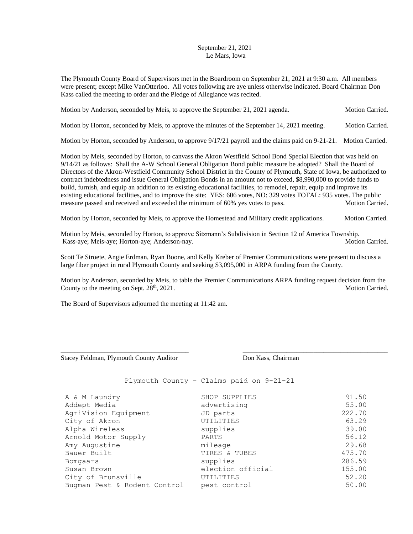## September 21, 2021 Le Mars, Iowa

The Plymouth County Board of Supervisors met in the Boardroom on September 21, 2021 at 9:30 a.m. All members were present; except Mike VanOtterloo. All votes following are aye unless otherwise indicated. Board Chairman Don Kass called the meeting to order and the Pledge of Allegiance was recited.

Motion by Anderson, seconded by Meis, to approve the September 21, 2021 agenda. Motion Carried. Motion by Horton, seconded by Meis, to approve the minutes of the September 14, 2021 meeting. Motion Carried.

Motion by Horton, seconded by Anderson, to approve 9/17/21 payroll and the claims paid on 9-21-21. Motion Carried.

Motion by Meis, seconded by Horton, to canvass the Akron Westfield School Bond Special Election that was held on 9/14/21 as follows: Shall the A-W School General Obligation Bond public measure be adopted? Shall the Board of Directors of the Akron-Westfield Community School District in the County of Plymouth, State of Iowa, be authorized to contract indebtedness and issue General Obligation Bonds in an amount not to exceed, \$8,990,000 to provide funds to build, furnish, and equip an addition to its existing educational facilities, to remodel, repair, equip and improve its existing educational facilities, and to improve the site: YES: 606 votes, NO: 329 votes TOTAL: 935 votes. The public measure passed and received and exceeded the minimum of 60% yes votes to pass. Motion Carried.

Motion by Horton, seconded by Meis, to approve the Homestead and Military credit applications. Motion Carried.

Motion by Meis, seconded by Horton, to approve Sitzmann's Subdivision in Section 12 of America Township. Kass-aye; Meis-aye; Horton-aye; Anderson-nay. Motion Carried.

Scott Te Stroete, Angie Erdman, Ryan Boone, and Kelly Kreber of Premier Communications were present to discuss a large fiber project in rural Plymouth County and seeking \$3,095,000 in ARPA funding from the County.

Motion by Anderson, seconded by Meis, to table the Premier Communications ARPA funding request decision from the County to the meeting on Sept.  $28<sup>th</sup>$ ,  $2021$ . Motion Carried.

\_\_\_\_\_\_\_\_\_\_\_\_\_\_\_\_\_\_\_\_\_\_\_\_\_\_\_\_\_\_\_\_\_\_\_\_\_\_ \_\_\_\_\_\_\_\_\_\_\_\_\_\_\_\_\_\_\_\_\_\_\_\_\_\_\_\_\_\_\_\_\_\_\_\_\_\_\_\_\_\_\_

The Board of Supervisors adjourned the meeting at 11:42 am.

Stacey Feldman, Plymouth County Auditor **Don Kass, Chairman** 

Plymouth County – Claims paid on 9-21-21

| A & M Laundry                | SHOP SUPPLIES     | 91.50  |
|------------------------------|-------------------|--------|
| Addept Media                 | advertising       | 55.00  |
| AgriVision Equipment         | JD parts          | 222.70 |
| City of Akron                | UTILITIES         | 63.29  |
| Alpha Wireless               | supplies          | 39.00  |
| Arnold Motor Supply          | PARTS             | 56.12  |
| Amy Augustine                | mileage           | 29.68  |
| Bauer Built                  | TIRES & TUBES     | 475.70 |
| Bomgaars                     | supplies          | 286.59 |
| Susan Brown                  | election official | 155.00 |
| City of Brunsville           | UTILITIES         | 52.20  |
| Bugman Pest & Rodent Control | pest control      | 50.00  |
|                              |                   |        |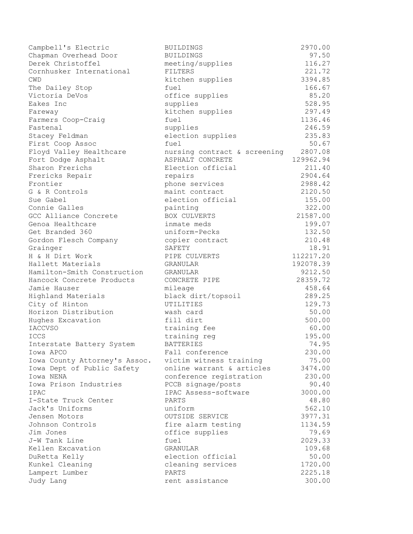| Campbell's Electric           | <b>BUILDINGS</b>             | 2970.00   |
|-------------------------------|------------------------------|-----------|
| Chapman Overhead Door         | <b>BUILDINGS</b>             | 97.50     |
| Derek Christoffel             | meeting/supplies             | 116.27    |
| Cornhusker International      | FILTERS                      | 221.72    |
| <b>CWD</b>                    | kitchen supplies             | 3394.85   |
| The Dailey Stop               | fuel                         | 166.67    |
| Victoria DeVos                | office supplies              | 85.20     |
| Eakes Inc                     | supplies                     | 528.95    |
| Fareway                       | kitchen supplies             | 297.49    |
| Farmers Coop-Craig            | fuel                         | 1136.46   |
| Fastenal                      | supplies                     | 246.59    |
| Stacey Feldman                | election supplies            | 235.83    |
| First Coop Assoc              | fuel                         | 50.67     |
| Floyd Valley Healthcare       | nursing contract & screening | 2807.08   |
| Fort Dodge Asphalt            | ASPHALT CONCRETE             | 129962.94 |
| Sharon Frerichs               | Election official            | 211.40    |
| Frericks Repair               | repairs                      | 2904.64   |
| Frontier                      | phone services               | 2988.42   |
| G & R Controls                | maint contract               | 2120.50   |
| Sue Gabel                     | election official            | 155.00    |
| Connie Galles                 | painting                     | 322.00    |
| GCC Alliance Concrete         | BOX CULVERTS                 | 21587.00  |
| Genoa Healthcare              | inmate meds                  | 199.07    |
| Get Branded 360               | uniform-Pecks                | 132.50    |
| Gordon Flesch Company         | copier contract              | 210.48    |
| Grainger                      | SAFETY                       | 18.91     |
| H & H Dirt Work               | PIPE CULVERTS                | 112217.20 |
| Hallett Materials             | GRANULAR                     | 192078.39 |
| Hamilton-Smith Construction   | GRANULAR                     | 9212.50   |
| Hancock Concrete Products     | CONCRETE PIPE                | 28359.72  |
| Jamie Hauser                  | mileage                      | 458.64    |
| Highland Materials            | black dirt/topsoil           | 289.25    |
| City of Hinton                | UTILITIES                    | 129.73    |
| Horizon Distribution          | wash card                    | 50.00     |
| Hughes Excavation             | fill dirt                    | 500.00    |
| <b>IACCVSO</b>                | training fee                 | 60.00     |
| <b>ICCS</b>                   | training reg                 | 195.00    |
| Interstate Battery System     | <b>BATTERIES</b>             | 74.95     |
| Iowa APCO                     | Fall conference              | 230.00    |
| Iowa County Attorney's Assoc. | victim witness training      | 75.00     |
| Iowa Dept of Public Safety    | online warrant & articles    | 3474.00   |
| Iowa NENA                     | conference registration      | 230.00    |
| Iowa Prison Industries        | PCCB signage/posts           | 90.40     |
| IPAC                          | IPAC Assess-software         | 3000.00   |
| I-State Truck Center          | PARTS                        | 48.80     |
| Jack's Uniforms               | uniform                      | 562.10    |
| Jensen Motors                 | OUTSIDE SERVICE              | 3977.31   |
| Johnson Controls              | fire alarm testing           | 1134.59   |
| Jim Jones                     | office supplies              | 79.69     |
| J-W Tank Line                 | fuel                         | 2029.33   |
| Kellen Excavation             | GRANULAR                     | 109.68    |
| DuRetta Kelly                 | election official            | 50.00     |
| Kunkel Cleaning               | cleaning services            | 1720.00   |
| Lampert Lumber                | PARTS                        | 2225.18   |
| Judy Lang                     | rent assistance              | 300.00    |
|                               |                              |           |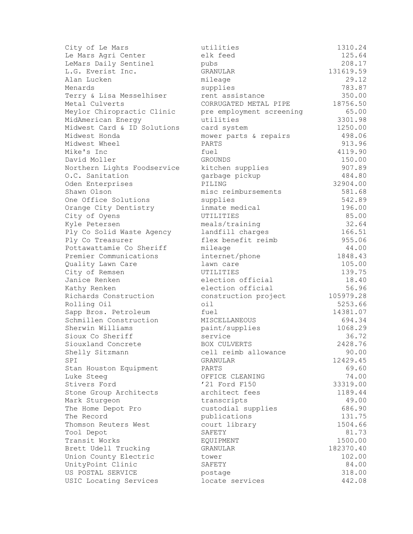| City of Le Mars                            | utilities                | 1310.24              |
|--------------------------------------------|--------------------------|----------------------|
| Le Mars Agri Center                        | elk feed                 | 125.64               |
| LeMars Daily Sentinel                      | pubs                     | 208.17               |
| L.G. Everist Inc.                          | GRANULAR                 | 131619.59            |
| Alan Lucken                                | mileage                  | 29.12                |
| Menards                                    | supplies                 | 783.87               |
| Terry & Lisa Messelhiser                   | rent assistance          | 350.00               |
| Metal Culverts                             | CORRUGATED METAL PIPE    | 18756.50             |
| Meylor Chiropractic Clinic                 | pre employment screening | 65.00                |
| MidAmerican Energy                         | utilities                | 3301.98              |
| Midwest Card & ID Solutions                | card system              | 1250.00              |
| Midwest Honda                              | mower parts & repairs    | 498.06               |
| Midwest Wheel                              | PARTS                    | 913.96               |
| Mike's Inc                                 | fuel                     | 4119.90              |
| David Moller                               | GROUNDS                  | 150.00               |
| Northern Lights Foodservice                | kitchen supplies         | 907.89               |
| O.C. Sanitation                            | garbage pickup           | 484.80               |
| Oden Enterprises                           | PILING                   | 32904.00             |
| Shawn Olson                                | misc reimbursements      | 581.68               |
| One Office Solutions                       | supplies                 | 542.89               |
| Orange City Dentistry                      | inmate medical           | 196.00               |
| City of Oyens                              | UTILITIES                | 85.00                |
| Kyle Petersen                              | meals/training           | 32.64                |
| Ply Co Solid Waste Agency                  | landfill charges         | 166.51               |
| Ply Co Treasurer                           | flex benefit reimb       | 955.06               |
| Pottawattamie Co Sheriff                   | mileage                  | 44.00                |
| Premier Communications                     | internet/phone           | 1848.43              |
| Quality Lawn Care                          | lawn care                | 105.00               |
| City of Remsen                             | UTILITIES                | 139.75               |
| Janice Renken                              | election official        | 18.40                |
| Kathy Renken                               | election official        | 56.96                |
| Richards Construction                      | construction project     | 105979.28            |
| Rolling Oil                                | $\circ$ il               | 5253.66              |
| Sapp Bros. Petroleum                       | fuel                     | 14381.07             |
| Schmillen Construction                     | <b>MISCELLANEOUS</b>     | 694.34               |
| Sherwin Williams                           | paint/supplies           | 1068.29              |
| Sioux Co Sheriff                           | service                  | 36.72                |
| Siouxland Concrete                         | BOX CULVERTS             | 2428.76              |
| Shelly Sitzmann                            | cell reimb allowance     | 90.00                |
| SPI                                        | GRANULAR                 | 12429.45             |
| Stan Houston Equipment                     | PARTS                    | 69.60                |
| Luke Steeg                                 | OFFICE CLEANING          | 74.00                |
| Stivers Ford                               | '21 Ford F150            | 33319.00             |
| Stone Group Architects                     | architect fees           | 1189.44              |
| Mark Sturgeon                              | transcripts              | 49.00                |
| The Home Depot Pro                         | custodial supplies       | 686.90               |
| The Record                                 | publications             | 131.75               |
| Thomson Reuters West                       | court library            | 1504.66              |
| Tool Depot                                 | SAFETY                   | 81.73                |
|                                            |                          |                      |
| Transit Works                              | EQUIPMENT<br>GRANULAR    | 1500.00<br>182370.40 |
| Brett Udell Trucking                       |                          | 102.00               |
| Union County Electric<br>UnityPoint Clinic | tower                    | 84.00                |
| US POSTAL SERVICE                          | SAFETY                   | 318.00               |
|                                            | postage                  | 442.08               |
| USIC Locating Services                     | locate services          |                      |